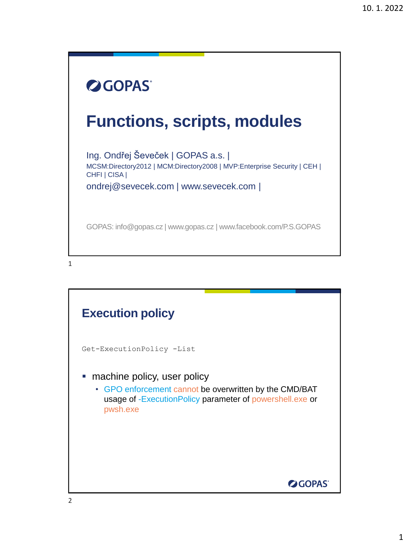



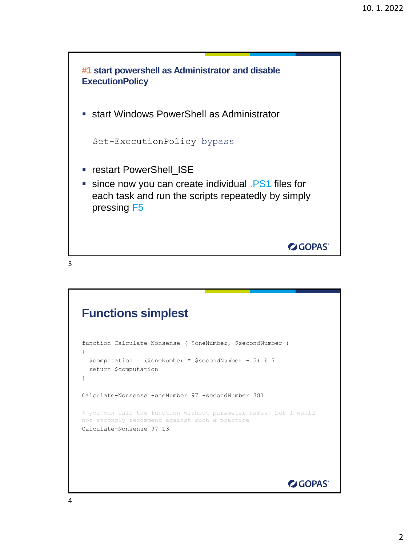

### **Functions simplest**

```
function Calculate-Nonsense ( $oneNumber, $secondNumber )
{
 $computation = ($oneNumber * $secondNumber - 5) % 7
 return $computation
}
Calculate-Nonsense -oneNumber 97 -secondNumber 381
# you can call the function without parameter names, but I would 
not strongly recommend against such a practice
Calculate-Nonsense 97 13
                                                        OGOPAS
```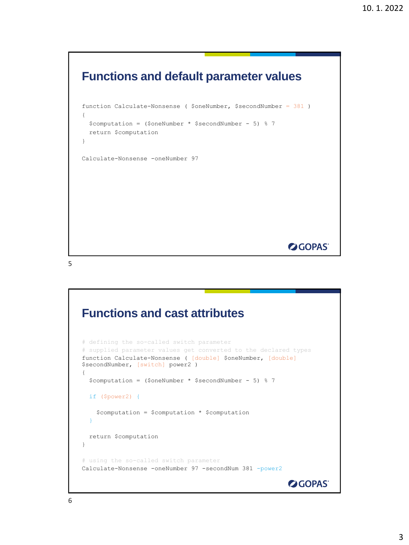### **Functions and default parameter values**

```
function Calculate-Nonsense ( $oneNumber, $secondNumber = 381 )
{
  $computation = ($oneNumber * $secondNumber - 5) % 7
  return $computation
}
Calculate-Nonsense -oneNumber 97
```
**OGOPAS** 

5

## **Functions and cast attributes**

```
# defining the so-called switch parameter
# supplied parameter values get converted to the declared types
function Calculate-Nonsense ( [double] $oneNumber, [double]
$secondNumber, [switch] power2 )
{
 $computation = ($oneNumber * $secondNumber - 5) 8 7
 if ($power2) {
   $computation = $computation * $computation
  }
 return $computation
}
# using the so-called switch parameter
Calculate-Nonsense -oneNumber 97 -secondNum 381 -power2
                                                        OGOPAS
```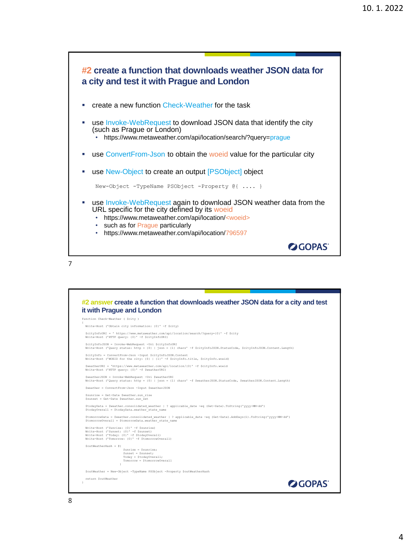

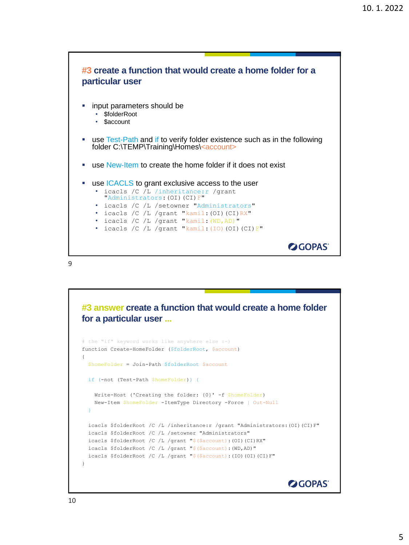

**#3 answer create a function that would create a home folder for a particular user ...**

```
# the "if" keyword works like anywhere else :-)
function Create-HomeFolder ($folderRoot, $account)
{
 $homeFolder = Join-Path $folderRoot $account
 if (-not (Test-Path $homeFolder)) {
   Write-Host ('Creating the folder: {0}' -f $homeFolder)
   New-Item $homeFolder -ItemType Directory -Force | Out-Null
  }
 icacls $folderRoot /C /L /inheritance:r /grant "Administrators:(OI)(CI)F"
 icacls $folderRoot /C /L /setowner "Administrators"
 icacls $folderRoot /C /L /grant "$($account):(OI)(CI)RX"
 icacls $folderRoot /C /L /grant "$($account):(WD,AD)"
 icacls $folderRoot /C /L /grant "$($account):(IO)(OI)(CI)F"
}
                                                                 OGOPAS
```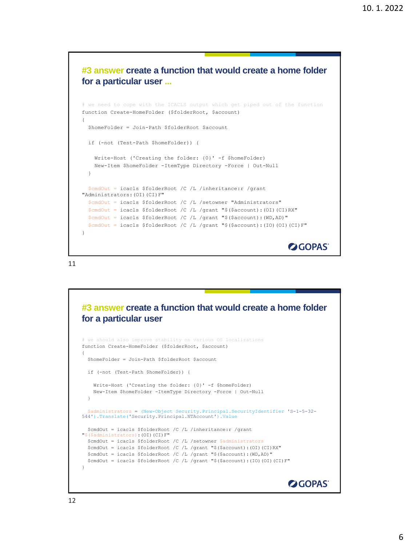#### **#3 answer create a function that would create a home folder for a particular user ...**

```
# we need to cope with the ICACLS output which get piped out of the function
function Create-HomeFolder ($folderRoot, $account)
{
 $homeFolder = Join-Path $folderRoot $account
 if (-not (Test-Path $homeFolder)) {
   Write-Host ('Creating the folder: {0}' -f $homeFolder)
   New-Item $homeFolder -ItemType Directory -Force | Out-Null
 }
 $cmdOut = icacls $folderRoot /C /L /inheritance:r /grant 
"Administrators:(OI)(CI)F"
  $cmdOut = icacls $folderRoot /C /L /setowner "Administrators"
 $cmdOut = icacls $folderRoot /C /L /grant "$($account):(OI)(CI)RX"
 $cmdOut = icacls $folderRoot /C /L /grant "$($account):(WD,AD)"
 $cmdOut = icacls $folderRoot /C /L /grant "$($account):(IO)(OI)(CI)F"
}
                                                                 OGOPAS
```
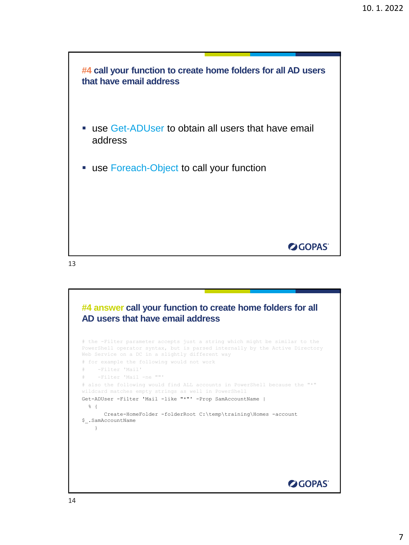

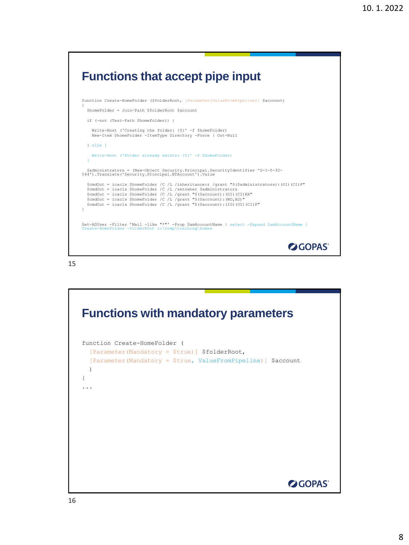



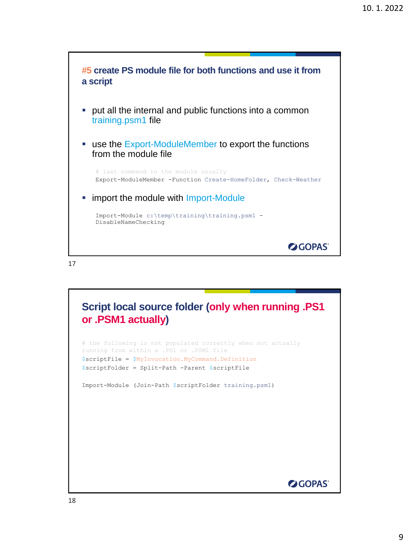



```
# the following is not populated correctly when not actually 
running from within a .PS1 or .PSM1 file
$scriptFile = $MyInvocation.MyCommand.Definition
$scriptFolder = Split-Path -Parent $scriptFile
```
Import-Module (Join-Path \$scriptFolder training.psm1)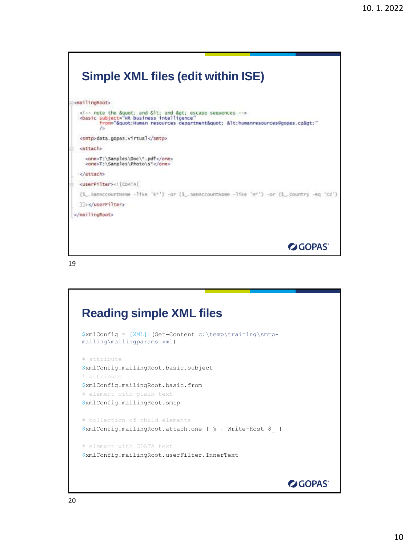

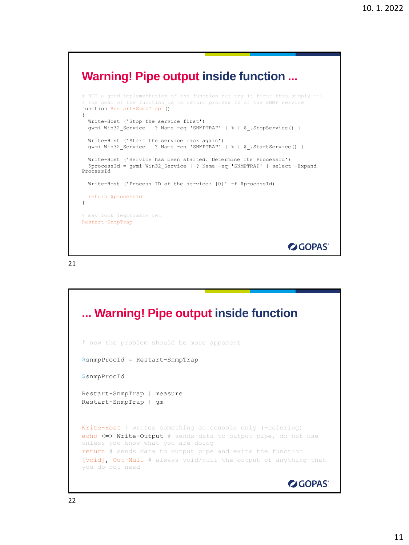### **Warning! Pipe output inside function ...**

```
# NOT a good implementation of the function but try it first this simply :-)
# the goal of the function is to return process ID of the SNMP service
function Restart-SnmpTrap ()
{
  Write-Host ('Stop the service first')
 gwmi Win32 Service | ? Name -eq 'SNMPTRAP' | % { $ .StopService() }
 Write-Host ('Start the service back again')
 gwmi Win32_Service | ? Name -eq 'SNMPTRAP' | % { $_.StartService() }
  Write-Host ('Service has been started. Determine its ProcessId')
 $processId = gwmi Win32_Service | ? Name -eq 'SNMPTRAP' | select -Expand 
ProcessId
 Write-Host ('Process ID of the service: {0}' -f $processId)
 return $processId
}
# may look legitimate yet
Restart-SnmpTrap
                                                                 OGOPAS
```